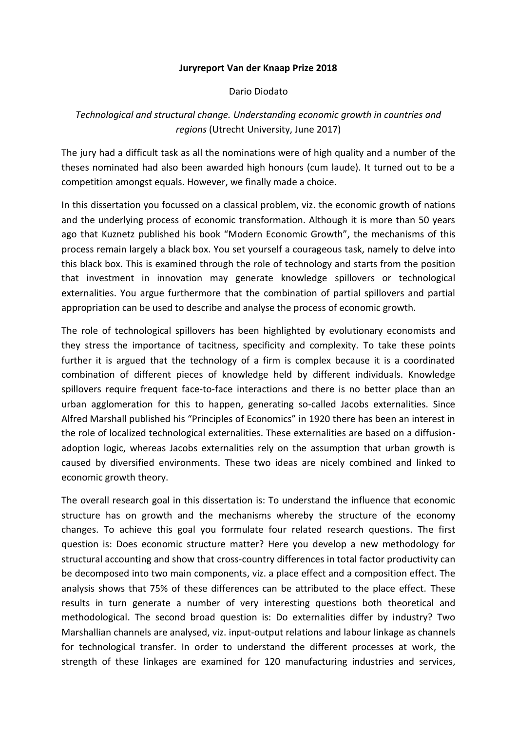## **Juryreport Van der Knaap Prize 2018**

## Dario Diodato

## *Technological and structural change. Understanding economic growth in countries and regions* (Utrecht University, June 2017)

The jury had a difficult task as all the nominations were of high quality and a number of the theses nominated had also been awarded high honours (cum laude). It turned out to be a competition amongst equals. However, we finally made a choice.

In this dissertation you focussed on a classical problem, viz. the economic growth of nations and the underlying process of economic transformation. Although it is more than 50 years ago that Kuznetz published his book "Modern Economic Growth", the mechanisms of this process remain largely a black box. You set yourself a courageous task, namely to delve into this black box. This is examined through the role of technology and starts from the position that investment in innovation may generate knowledge spillovers or technological externalities. You argue furthermore that the combination of partial spillovers and partial appropriation can be used to describe and analyse the process of economic growth.

The role of technological spillovers has been highlighted by evolutionary economists and they stress the importance of tacitness, specificity and complexity. To take these points further it is argued that the technology of a firm is complex because it is a coordinated combination of different pieces of knowledge held by different individuals. Knowledge spillovers require frequent face-to-face interactions and there is no better place than an urban agglomeration for this to happen, generating so-called Jacobs externalities. Since Alfred Marshall published his "Principles of Economics" in 1920 there has been an interest in the role of localized technological externalities. These externalities are based on a diffusionadoption logic, whereas Jacobs externalities rely on the assumption that urban growth is caused by diversified environments. These two ideas are nicely combined and linked to economic growth theory.

The overall research goal in this dissertation is: To understand the influence that economic structure has on growth and the mechanisms whereby the structure of the economy changes. To achieve this goal you formulate four related research questions. The first question is: Does economic structure matter? Here you develop a new methodology for structural accounting and show that cross-country differences in total factor productivity can be decomposed into two main components, viz. a place effect and a composition effect. The analysis shows that 75% of these differences can be attributed to the place effect. These results in turn generate a number of very interesting questions both theoretical and methodological. The second broad question is: Do externalities differ by industry? Two Marshallian channels are analysed, viz. input-output relations and labour linkage as channels for technological transfer. In order to understand the different processes at work, the strength of these linkages are examined for 120 manufacturing industries and services,